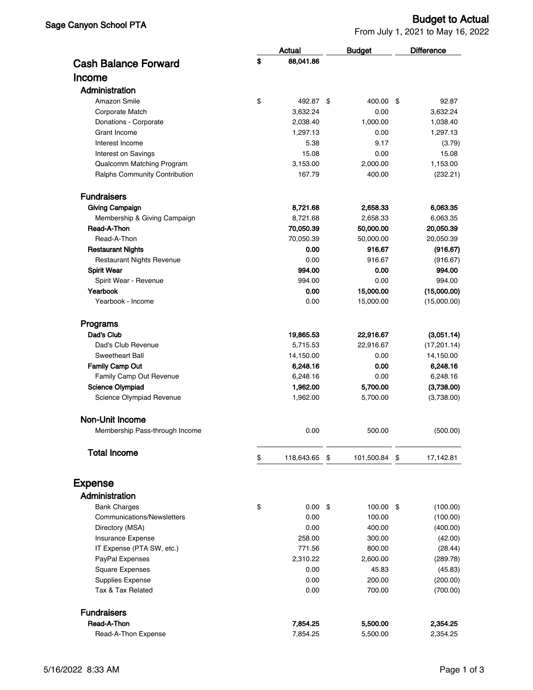From July 1, 2021 to May 16, 2022

|                                       | <b>Actual</b>    | <b>Budget</b>    | <b>Difference</b>    |
|---------------------------------------|------------------|------------------|----------------------|
| <b>Cash Balance Forward</b>           | \$<br>88,041.86  |                  |                      |
| Income                                |                  |                  |                      |
| Administration                        |                  |                  |                      |
| Amazon Smile                          | \$<br>492.87 \$  | 400.00           | \$<br>92.87          |
| Corporate Match                       | 3,632.24         | 0.00             | 3,632.24             |
| Donations - Corporate                 | 2,038.40         | 1,000.00         | 1,038.40             |
| Grant Income                          | 1,297.13         | 0.00             | 1,297.13             |
| Interest Income                       | 5.38             | 9.17             | (3.79)               |
| Interest on Savings                   | 15.08            | 0.00             | 15.08                |
| Qualcomm Matching Program             | 3,153.00         | 2,000.00         | 1,153.00             |
| Ralphs Community Contribution         | 167.79           | 400.00           | (232.21)             |
| <b>Fundraisers</b>                    |                  |                  |                      |
| <b>Giving Campaign</b>                | 8,721.68         | 2,658.33         | 6,063.35             |
| Membership & Giving Campaign          | 8,721.68         | 2,658.33         | 6,063.35             |
| Read-A-Thon                           | 70,050.39        | 50,000.00        | 20,050.39            |
| Read-A-Thon                           | 70,050.39        | 50,000.00        | 20,050.39            |
| <b>Restaurant Nights</b>              | 0.00             | 916.67           | (916.67)             |
| <b>Restaurant Nights Revenue</b>      | 0.00             | 916.67           | (916.67)             |
| <b>Spirit Wear</b>                    | 994.00           | 0.00             | 994.00               |
| Spirit Wear - Revenue                 | 994.00           | 0.00             | 994.00               |
| Yearbook                              | 0.00             | 15,000.00        | (15,000.00)          |
| Yearbook - Income                     | 0.00             | 15,000.00        | (15,000.00)          |
| Programs                              |                  |                  |                      |
| Dad's Club                            | 19,865.53        | 22,916.67        | (3,051.14)           |
| Dad's Club Revenue                    | 5,715.53         | 22,916.67        | (17, 201.14)         |
| Sweetheart Ball                       | 14,150.00        | 0.00             | 14,150.00            |
| <b>Family Camp Out</b>                | 6,248.16         | 0.00             | 6,248.16             |
| Family Camp Out Revenue               | 6,248.16         | 0.00             | 6,248.16             |
| <b>Science Olympiad</b>               | 1,962.00         | 5,700.00         | (3,738.00)           |
| Science Olympiad Revenue              | 1,962.00         | 5,700.00         | (3,738.00)           |
| <b>Non-Unit Income</b>                |                  |                  |                      |
| Membership Pass-through Income        | 0.00             | 500.00           | (500.00)             |
| <b>Total Income</b>                   | \$<br>118,643.65 | \$<br>101,500.84 | \$<br>17,142.81      |
| <b>Expense</b>                        |                  |                  |                      |
|                                       |                  |                  |                      |
| Administration                        |                  |                  |                      |
| <b>Bank Charges</b>                   | \$<br>0.00       | \$<br>100.00 \$  | (100.00)             |
| Communications/Newsletters            | 0.00             | 100.00           | (100.00)             |
| Directory (MSA)                       | 0.00             | 400.00           | (400.00)             |
| Insurance Expense                     | 258.00           | 300.00           | (42.00)              |
| IT Expense (PTA SW, etc.)             | 771.56           | 800.00           | (28.44)              |
| PayPal Expenses                       | 2,310.22         | 2,600.00         | (289.78)             |
| <b>Square Expenses</b>                | 0.00             | 45.83            | (45.83)              |
| Supplies Expense<br>Tax & Tax Related | 0.00<br>0.00     | 200.00<br>700.00 | (200.00)<br>(700.00) |
| <b>Fundraisers</b>                    |                  |                  |                      |
| Read-A-Thon                           | 7,854.25         | 5,500.00         | 2,354.25             |
| Read-A-Thon Expense                   | 7,854.25         | 5,500.00         | 2,354.25             |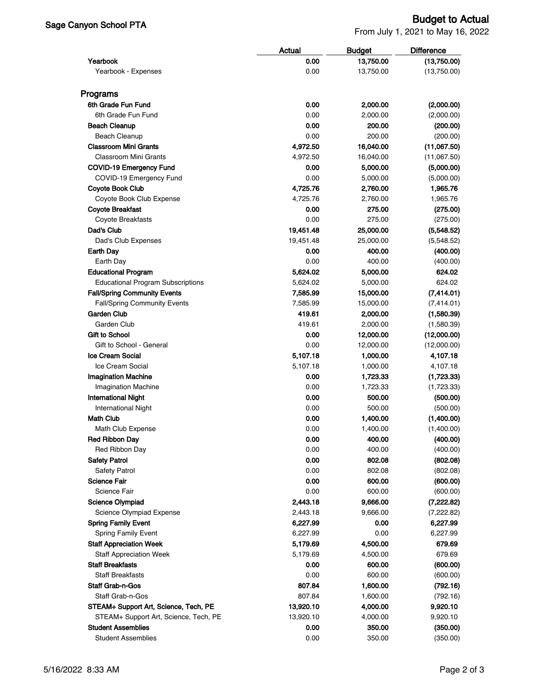## Sage Canyon School PTA Budget to Actual

From July 1, 2021 to May 16, 2022

|                                          | Actual    | <b>Budget</b> | <b>Difference</b> |  |
|------------------------------------------|-----------|---------------|-------------------|--|
| Yearbook                                 | 0.00      | 13,750.00     | (13,750.00)       |  |
| Yearbook - Expenses                      | 0.00      | 13,750.00     | (13,750.00)       |  |
|                                          |           |               |                   |  |
| Programs                                 |           |               |                   |  |
| 6th Grade Fun Fund                       | 0.00      | 2,000.00      | (2,000.00)        |  |
| 6th Grade Fun Fund                       | 0.00      | 2,000.00      | (2,000.00)        |  |
| <b>Beach Cleanup</b>                     | 0.00      | 200.00        | (200.00)          |  |
| <b>Beach Cleanup</b>                     | 0.00      | 200.00        | (200.00)          |  |
| <b>Classroom Mini Grants</b>             | 4,972.50  | 16,040.00     | (11,067.50)       |  |
| <b>Classroom Mini Grants</b>             | 4,972.50  | 16,040.00     | (11,067.50)       |  |
| <b>COVID-19 Emergency Fund</b>           | 0.00      | 5,000.00      | (5,000.00)        |  |
| COVID-19 Emergency Fund                  | 0.00      | 5,000.00      | (5,000.00)        |  |
| <b>Coyote Book Club</b>                  | 4,725.76  | 2,760.00      | 1,965.76          |  |
| Coyote Book Club Expense                 | 4,725.76  | 2,760.00      | 1,965.76          |  |
| <b>Coyote Breakfast</b>                  | 0.00      | 275.00        | (275.00)          |  |
| Coyote Breakfasts                        | 0.00      | 275.00        | (275.00)          |  |
| Dad's Club                               | 19,451.48 | 25,000.00     | (5,548.52)        |  |
| Dad's Club Expenses                      | 19,451.48 | 25,000.00     | (5,548.52)        |  |
| <b>Earth Day</b>                         | 0.00      | 400.00        | (400.00)          |  |
| Earth Day                                | 0.00      | 400.00        | (400.00)          |  |
| <b>Educational Program</b>               | 5,624.02  | 5,000.00      | 624.02            |  |
| <b>Educational Program Subscriptions</b> | 5,624.02  | 5,000.00      | 624.02            |  |
| <b>Fall/Spring Community Events</b>      | 7,585.99  | 15,000.00     | (7,414.01)        |  |
| <b>Fall/Spring Community Events</b>      | 7,585.99  | 15,000.00     | (7,414.01)        |  |
| <b>Garden Club</b>                       | 419.61    | 2,000.00      | (1,580.39)        |  |
| Garden Club                              | 419.61    | 2,000.00      | (1,580.39)        |  |
| Gift to School                           | 0.00      | 12,000.00     | (12,000.00)       |  |
| Gift to School - General                 | 0.00      | 12,000.00     | (12,000.00)       |  |
| <b>Ice Cream Social</b>                  | 5,107.18  | 1,000.00      | 4,107.18          |  |
| Ice Cream Social                         | 5,107.18  | 1,000.00      | 4,107.18          |  |
| <b>Imagination Machine</b>               | 0.00      | 1,723.33      | (1,723.33)        |  |
| <b>Imagination Machine</b>               | 0.00      | 1,723.33      | (1,723.33)        |  |
| <b>International Night</b>               | 0.00      | 500.00        | (500.00)          |  |
| <b>International Night</b>               | 0.00      | 500.00        | (500.00)          |  |
| <b>Math Club</b>                         | 0.00      | 1,400.00      | (1,400.00)        |  |
| Math Club Expense                        | 0.00      | 1,400.00      | (1,400.00)        |  |
| <b>Red Ribbon Day</b>                    | 0.00      | 400.00        | (400.00)          |  |
| Red Ribbon Day                           | 0.00      | 400.00        | (400.00)          |  |
| <b>Safety Patrol</b>                     | 0.00      | 802.08        | (802.08)          |  |
| <b>Safety Patrol</b>                     | 0.00      | 802.08        | (802.08)          |  |
| <b>Science Fair</b>                      | 0.00      | 600.00        | (600.00)          |  |
| Science Fair                             | 0.00      | 600.00        | (600.00)          |  |
| <b>Science Olympiad</b>                  | 2,443.18  | 9,666.00      | (7,222.82)        |  |
| Science Olympiad Expense                 | 2,443.18  | 9,666.00      | (7, 222.82)       |  |
| <b>Spring Family Event</b>               | 6,227.99  | 0.00          | 6,227.99          |  |
| <b>Spring Family Event</b>               | 6,227.99  | 0.00          | 6,227.99          |  |
| <b>Staff Appreciation Week</b>           | 5,179.69  | 4,500.00      | 679.69            |  |
| <b>Staff Appreciation Week</b>           | 5,179.69  | 4,500.00      | 679.69            |  |
| <b>Staff Breakfasts</b>                  | 0.00      | 600.00        | (600.00)          |  |
| <b>Staff Breakfasts</b>                  | 0.00      | 600.00        | (600.00)          |  |
| <b>Staff Grab-n-Gos</b>                  | 807.84    | 1,600.00      | (792.16)          |  |
| Staff Grab-n-Gos                         | 807.84    | 1,600.00      | (792.16)          |  |
|                                          |           |               |                   |  |
| STEAM+ Support Art, Science, Tech, PE    | 13,920.10 | 4,000.00      | 9,920.10          |  |
| STEAM+ Support Art, Science, Tech, PE    | 13,920.10 | 4,000.00      | 9,920.10          |  |
| <b>Student Assemblies</b>                | 0.00      | 350.00        | (350.00)          |  |
| <b>Student Assemblies</b>                | 0.00      | 350.00        | (350.00)          |  |